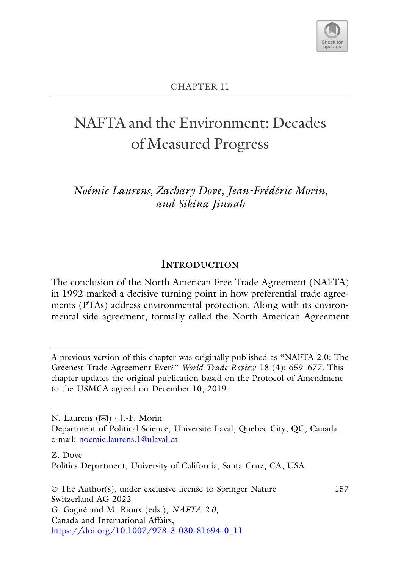

### NAFTA and the Environment: Decades of Measured Progress

*Noémie Laurens, Zachary Dove, Jean-Frédéric Morin, and Sikina Jinnah*

### **INTRODUCTION**

Introduction The conclusion of the North American Free Trade Agreement (NAFTA) in 1992 marked a decisive turning point in how preferential trade agreements (PTAs) address environmental protection. Along with its environmental side agreement, formally called the North American Agreement

A previous version of this chapter was originally published as "NAFTA 2.0: The Greenest Trade Agreement Ever?" *World Trade Review* 18 (4): 659–677. This chapter updates the original publication based on the Protocol of Amendment to the USMCA agreed on December 10, 2019.

N. Laurens (B) · J.-F. Morin

Department of Political Science, Université Laval, Quebec City, QC, Canada e-mail: [noemie.laurens.1@ulaval.ca](mailto:noemie.laurens.1@ulaval.ca)

Z. Dove

Politics Department, University of California, Santa Cruz, CA, USA

<sup>©</sup> The Author(s), under exclusive license to Springer Nature Switzerland AG 2022 G. Gagné and M. Rioux (eds.), *NAFTA 2.0*, Canada and International Affairs, [https://doi.org/10.1007/978-3-030-81694-0\\_11](https://doi.org/10.1007/978-3-030-81694-0_11) 157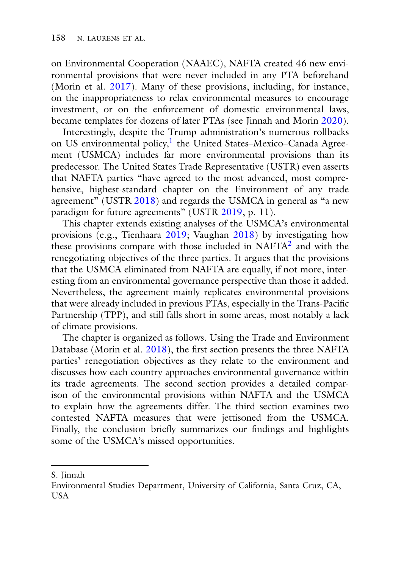on Environmental Cooperation (NAAEC), NAFTA created 46 new environmental provisions that were never included in any PTA beforehand (Morin et al. [2017\)](#page-21-0). Many of these provisions, including, for instance, on the inappropriateness to relax environmental measures to encourage investment, or on the enforcement of domestic environmental laws, became templates for dozens of later PTAs (see Jinnah and Morin [2020\)](#page-21-1).

Interestingly, despite the Trump administration's numerous rollbacks on US environmental policy,<sup>[1](#page-18-0)</sup> the United States–Mexico–Canada Agreement (USMCA) includes far more environmental provisions than its predecessor. The United States Trade Representative (USTR) even asserts that NAFTA parties "have agreed to the most advanced, most comprehensive, highest-standard chapter on the Environment of any trade agreement" (USTR [2018\)](#page-23-0) and regards the USMCA in general as "a new paradigm for future agreements" (USTR [2019,](#page-23-1) p. 11).

This chapter extends existing analyses of the USMCA's environmental provisions (e.g., Tienhaara [2019;](#page-22-0) Vaughan [2018\)](#page-22-1) by investigating how these provisions compare with those included in NAFT[A2](#page-18-0) and with the renegotiating objectives of the three parties. It argues that the provisions that the USMCA eliminated from NAFTA are equally, if not more, interesting from an environmental governance perspective than those it added. Nevertheless, the agreement mainly replicates environmental provisions that were already included in previous PTAs, especially in the Trans-Pacific Partnership (TPP), and still falls short in some areas, most notably a lack of climate provisions.

The chapter is organized as follows. Using the Trade and Environment Database (Morin et al. [2018\)](#page-21-2), the first section presents the three NAFTA parties' renegotiation objectives as they relate to the environment and discusses how each country approaches environmental governance within its trade agreements. The second section provides a detailed comparison of the environmental provisions within NAFTA and the USMCA to explain how the agreements differ. The third section examines two contested NAFTA measures that were jettisoned from the USMCA. Finally, the conclusion briefly summarizes our findings and highlights some of the USMCA's missed opportunities.

S. Jinnah

Environmental Studies Department, University of California, Santa Cruz, CA, **USA**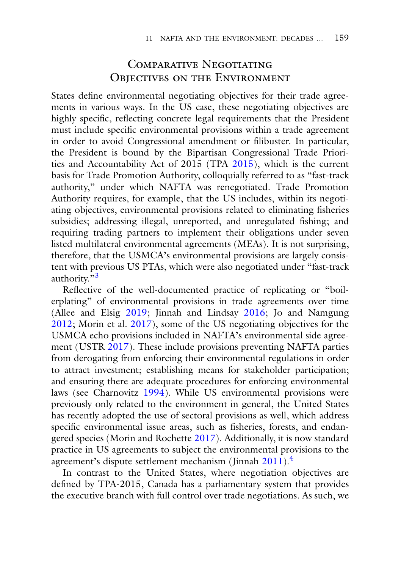### COMPARATIVE NEGOTIATING OBJECTIVES ON THE ENVIRONMENT

Objectives on the Environment States define environmental negotiating objectives for their trade agreements in various ways. In the US case, these negotiating objectives are highly specific, reflecting concrete legal requirements that the President must include specific environmental provisions within a trade agreement in order to avoid Congressional amendment or filibuster. In particular, the President is bound by the Bipartisan Congressional Trade Priorities and Accountability Act of 2015 (TPA [2015\)](#page-22-2), which is the current basis for Trade Promotion Authority, colloquially referred to as "fast-track authority," under which NAFTA was renegotiated. Trade Promotion Authority requires, for example, that the US includes, within its negotiating objectives, environmental provisions related to eliminating fisheries subsidies; addressing illegal, unreported, and unregulated fishing; and requiring trading partners to implement their obligations under seven listed multilateral environmental agreements (MEAs). It is not surprising, therefore, that the USMCA's environmental provisions are largely consistent with previous US PTAs, which were also negotiated under "fast-track authority."<sup>3</sup>

Reflective of the well-documented practice of replicating or "boilerplating" of environmental provisions in trade agreements over time (Allee and Elsig [2019;](#page-20-0) Jinnah and Lindsay [2016;](#page-21-3) Jo and Namgung [2012;](#page-21-4) Morin et al. [2017\)](#page-21-0), some of the US negotiating objectives for the USMCA echo provisions included in NAFTA's environmental side agreement (USTR [2017\)](#page-23-2). These include provisions preventing NAFTA parties from derogating from enforcing their environmental regulations in order to attract investment; establishing means for stakeholder participation; and ensuring there are adequate procedures for enforcing environmental laws (see Charnovitz [1994\)](#page-20-1). While US environmental provisions were previously only related to the environment in general, the United States has recently adopted the use of sectoral provisions as well, which address specific environmental issue areas, such as fisheries, forests, and endangered species (Morin and Rochette [2017\)](#page-21-5). Additionally, it is now standard practice in US agreements to subject the environmental provisions to the agreement's dispute settlement mechanism (Jinnah  $2011$ ).<sup>4</sup>

In contrast to the United States, where negotiation objectives are defined by TPA-2015, Canada has a parliamentary system that provides the executive branch with full control over trade negotiations. As such, we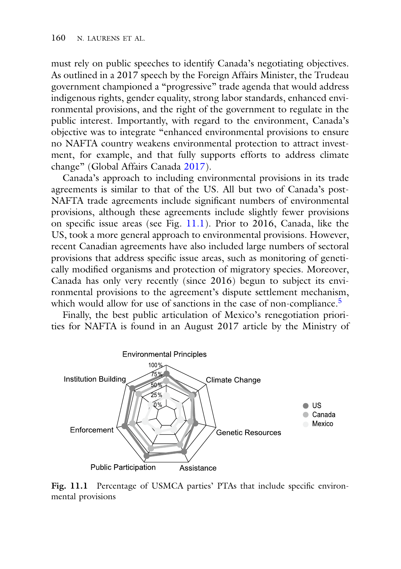must rely on public speeches to identify Canada's negotiating objectives. As outlined in a 2017 speech by the Foreign Affairs Minister, the Trudeau government championed a "progressive" trade agenda that would address indigenous rights, gender equality, strong labor standards, enhanced environmental provisions, and the right of the government to regulate in the public interest. Importantly, with regard to the environment, Canada's objective was to integrate "enhanced environmental provisions to ensure no NAFTA country weakens environmental protection to attract investment, for example, and that fully supports efforts to address climate change" (Global Affairs Canada [2017\)](#page-22-3).

Canada's approach to including environmental provisions in its trade agreements is similar to that of the US. All but two of Canada's post-NAFTA trade agreements include significant numbers of environmental provisions, although these agreements include slightly fewer provisions on specific issue areas (see Fig. [11.1\)](#page-3-0). Prior to 2016, Canada, like the US, took a more general approach to environmental provisions. However, recent Canadian agreements have also included large numbers of sectoral provisions that address specific issue areas, such as monitoring of genetically modified organisms and protection of migratory species. Moreover, Canada has only very recently (since 2016) begun to subject its environmental provisions to the agreement's dispute settlement mechanism, which would allow for use of sanctions in the case of non-compliance.<sup>5</sup>

Finally, the best public articulation of Mexico's renegotiation priorities for NAFTA is found in an August 2017 article by the Ministry of



<span id="page-3-0"></span>Fig. 11.1 Percentage of USMCA parties' PTAs that include specific environmental provisions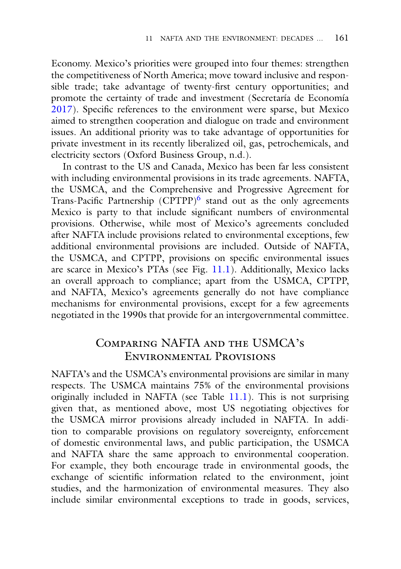Economy. Mexico's priorities were grouped into four themes: strengthen the competitiveness of North America; move toward inclusive and responsible trade; take advantage of twenty-first century opportunities; and promote the certainty of trade and investment (Secretaría de Economía [2017\)](#page-23-3). Specific references to the environment were sparse, but Mexico aimed to strengthen cooperation and dialogue on trade and environment issues. An additional priority was to take advantage of opportunities for private investment in its recently liberalized oil, gas, petrochemicals, and electricity sectors (Oxford Business Group, n.d.).

In contrast to the US and Canada, Mexico has been far less consistent with including environmental provisions in its trade agreements. NAFTA, the USMCA, and the Comprehensive and Progressive Agreement for Trans-Pacific Partnership  $(CPTPP)^6$  stand out as the only agreements Mexico is party to that include significant numbers of environmental provisions. Otherwise, while most of Mexico's agreements concluded after NAFTA include provisions related to environmental exceptions, few additional environmental provisions are included. Outside of NAFTA, the USMCA, and CPTPP, provisions on specific environmental issues are scarce in Mexico's PTAs (see Fig. [11.1\)](#page-3-0). Additionally, Mexico lacks an overall approach to compliance; apart from the USMCA, CPTPP, and NAFTA, Mexico's agreements generally do not have compliance mechanisms for environmental provisions, except for a few agreements negotiated in the 1990s that provide for an intergovernmental committee.

## Comparing NAFTA and the USMCA's

 $\sum_{i=1}^{n}$ NAFTA's and the USMCA's environmental provisions are similar in many respects. The USMCA maintains 75% of the environmental provisions originally included in NAFTA (see Table [11.1\)](#page-5-0). This is not surprising given that, as mentioned above, most US negotiating objectives for the USMCA mirror provisions already included in NAFTA. In addition to comparable provisions on regulatory sovereignty, enforcement of domestic environmental laws, and public participation, the USMCA and NAFTA share the same approach to environmental cooperation. For example, they both encourage trade in environmental goods, the exchange of scientific information related to the environment, joint studies, and the harmonization of environmental measures. They also include similar environmental exceptions to trade in goods, services,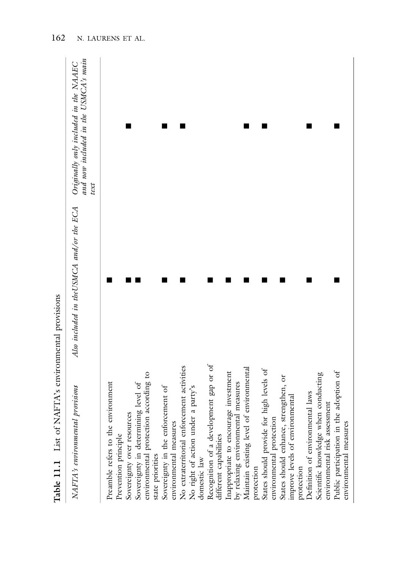| Table 11.1 List of NAFTA's environmental provisions                         |                                           |                                                                                       |
|-----------------------------------------------------------------------------|-------------------------------------------|---------------------------------------------------------------------------------------|
| NAFTA's environmental provisions                                            | Also included in the USMCA and/or the ECA | and now included in the USMCA's main<br>Originally only included in the NAAEC<br>text |
| Preamble refers to the environment                                          |                                           |                                                                                       |
| Prevention principle                                                        |                                           |                                                                                       |
| Sovereignty over resources                                                  |                                           |                                                                                       |
| Sovereignty in determining level of                                         |                                           |                                                                                       |
| environmental protection according to<br>state priorities                   |                                           |                                                                                       |
| Sovereignty in the enforcement of                                           |                                           | ■                                                                                     |
| environmental measures                                                      |                                           |                                                                                       |
| No extraterritorial enforcement activities                                  |                                           |                                                                                       |
| No right of action under a party's<br>domestic law                          |                                           |                                                                                       |
| Recognition of a development gap or of<br>different capabilities            |                                           |                                                                                       |
| Inappropriate to encourage investment<br>by relaxing environmental measures |                                           |                                                                                       |
| Maintain existing level of environmental                                    |                                           |                                                                                       |
| protection                                                                  |                                           |                                                                                       |
| States should provide for high levels of<br>environmental protection        |                                           |                                                                                       |
| States should enhance, strengthen, or                                       |                                           |                                                                                       |
| improve levels of environmental<br>protection                               |                                           |                                                                                       |
| Definition of environmental laws                                            |                                           |                                                                                       |
| Scientific knowledge when conducting<br>environmental risk assessment       |                                           |                                                                                       |
| Public participation in the adoption of<br>environmental measures           |                                           |                                                                                       |
|                                                                             |                                           |                                                                                       |

<span id="page-5-0"></span>Table 11.1 List of NAFTA's environmental provisions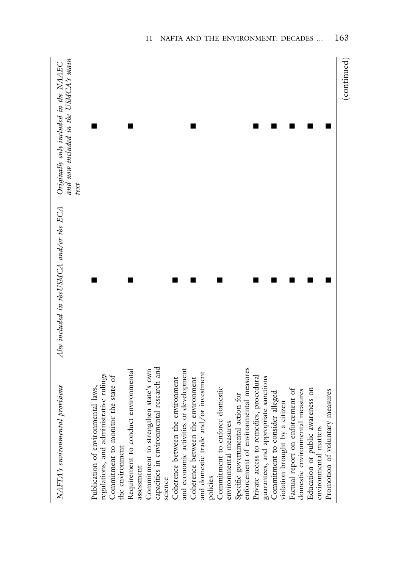| NAFTA's environmental provisions                                                            | Also included in the USMCA and/or the ECA | and now included in the USMCA's main<br>Originally only included in the NAAEC<br>text |
|---------------------------------------------------------------------------------------------|-------------------------------------------|---------------------------------------------------------------------------------------|
| regulations, and administrative rulings<br>Publication of environmental laws,               |                                           |                                                                                       |
| Commitment to monitor the state of<br>the environment                                       |                                           |                                                                                       |
| Requirement to conduct environmental<br>assessment                                          |                                           |                                                                                       |
| capacities in environmental research and<br>Commitment to strengthen state's own<br>science |                                           |                                                                                       |
| and economic activities or development<br>Coherence between the environment                 |                                           |                                                                                       |
| and domestic trade and/or investment<br>Coherence between the environment<br>policies       |                                           |                                                                                       |
| Commitment to enforce domestic<br>environmental measures                                    |                                           |                                                                                       |
| enforcement of environmental measures<br>Specific governmental action for                   |                                           |                                                                                       |
| Private access to remedies, procedural<br>guarantees, and appropriate sanctions             |                                           |                                                                                       |
| Commitment to consider alleged<br>violation brought by a citizen                            |                                           |                                                                                       |
| Factual report on enforcement of<br>domestic environmental measures                         |                                           |                                                                                       |
| Education or public awareness on<br>environmental matters                                   |                                           |                                                                                       |
| Promotion of voluntary measures                                                             |                                           |                                                                                       |
|                                                                                             |                                           | (continued)                                                                           |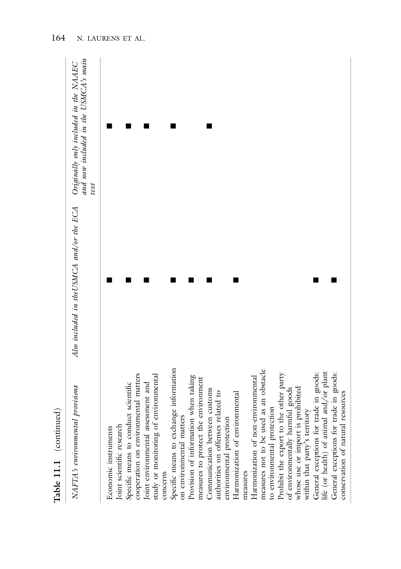| Table 11.1 (continued)                                                                                                                                                                                                                                                                                                                                                                                                                                                                                                                                                                                                                                                                                                                                                                                                                                                                                                                                                   |                                           |                                                                                       |
|--------------------------------------------------------------------------------------------------------------------------------------------------------------------------------------------------------------------------------------------------------------------------------------------------------------------------------------------------------------------------------------------------------------------------------------------------------------------------------------------------------------------------------------------------------------------------------------------------------------------------------------------------------------------------------------------------------------------------------------------------------------------------------------------------------------------------------------------------------------------------------------------------------------------------------------------------------------------------|-------------------------------------------|---------------------------------------------------------------------------------------|
| NAFTA's environmental provisions                                                                                                                                                                                                                                                                                                                                                                                                                                                                                                                                                                                                                                                                                                                                                                                                                                                                                                                                         | Also included in the USMCA and/or the ECA | and now included in the USMCA's main<br>Originally only included in the NAAEC<br>text |
| Specific means to exchange information<br>measures not to be used as an obstacle<br>life (or health) of animal and/or plant<br>General exceptions for trade in goods:<br>General exceptions for trade in goods:<br>cooperation on environmental matters<br>Prohibit the export to the other party<br>study or monitoring of environmental<br>Provision of information when taking<br>Harmonization of non-environmental<br>measures to protect the environment<br>Joint environmental assessment and<br>Specific means to conduct scientific<br>whose use or import is prohibited<br>Communication between customs<br>of environmentally harmful goods<br>authorities on offenses related to<br>conservation of natural resources<br>Harmonization of environmental<br>to environmental protection<br>within that party's territory<br>on environmental matters<br>environmental protection<br>Joint scientific research<br>Economic instruments<br>concerns<br>measures |                                           |                                                                                       |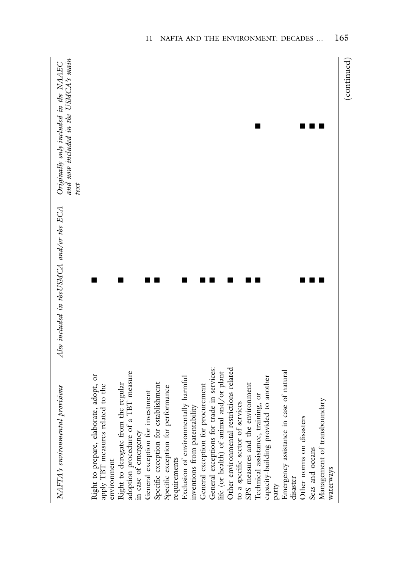| NAFTA's environmental provisions                                                                                                                                                                                                                                                                                                                                                                                                                                                                                                                                                                                                                                                                                                                                                                                                                                                                      | Also included in the USMCA and/or the ECA | and now included in the USMCA's main<br>Originally only included in the NAAEC<br>text |
|-------------------------------------------------------------------------------------------------------------------------------------------------------------------------------------------------------------------------------------------------------------------------------------------------------------------------------------------------------------------------------------------------------------------------------------------------------------------------------------------------------------------------------------------------------------------------------------------------------------------------------------------------------------------------------------------------------------------------------------------------------------------------------------------------------------------------------------------------------------------------------------------------------|-------------------------------------------|---------------------------------------------------------------------------------------|
| General exceptions for trade in services:<br>Other environmental restrictions related<br>Emergency assistance in case of natural<br>adoption procedure of a TBT measure<br>life (or health) of animal and/or plant<br>Right to prepare, elaborate, adopt, or<br>capacity-building provided to another<br>Exclusion of environmentally harmful<br>Right to derogate from the regular<br>Specific exception for establishment<br>SPS measures and the environment<br>apply TBT measures related to the<br>General exception for procurement<br>Specific exception for performance<br>General exception for investment<br>Technical assistance, training, or<br>Management of transboundary<br>to a specific sector of services<br>inventions from patentability<br>Other norms on disasters<br>in case of emergency<br>Seas and oceans<br>requirements<br>environment<br>waterways<br>disaster<br>party |                                           |                                                                                       |
|                                                                                                                                                                                                                                                                                                                                                                                                                                                                                                                                                                                                                                                                                                                                                                                                                                                                                                       |                                           | (continued)                                                                           |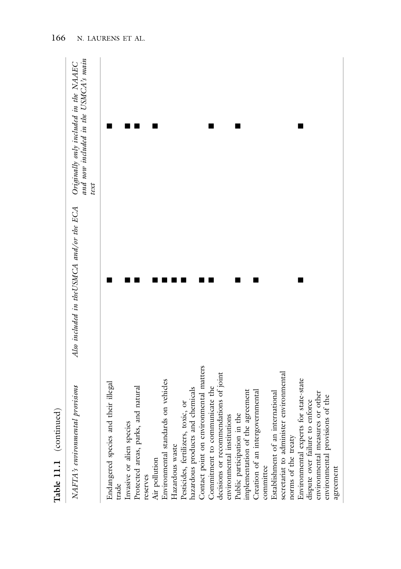| Table 11.1 (continued)                                                                                                                                                                                                                                                                                                                                                                                                                                                                                                                                                                                                                                                                                                                                                                                                        |                                           |                                                                                       |
|-------------------------------------------------------------------------------------------------------------------------------------------------------------------------------------------------------------------------------------------------------------------------------------------------------------------------------------------------------------------------------------------------------------------------------------------------------------------------------------------------------------------------------------------------------------------------------------------------------------------------------------------------------------------------------------------------------------------------------------------------------------------------------------------------------------------------------|-------------------------------------------|---------------------------------------------------------------------------------------|
| NAFTA's environmental provisions                                                                                                                                                                                                                                                                                                                                                                                                                                                                                                                                                                                                                                                                                                                                                                                              | Also included in the USMCA and/or the ECA | and now included in the USMCA's main<br>Originally only included in the NAAEC<br>text |
| Contact point on environmental matters<br>decisions or recommendations of joint<br>secretariat to administer environmental<br>Environmental experts for state-state<br>Environmental standards on vehicles<br>Endangered species and their illegal<br>hazardous products and chemicals<br>Protected areas, parks, and natural<br>Commitment to communicate the<br>implementation of the agreement<br>Creation of an intergovernmental<br>environmental measures or other<br>Establishment of an international<br>environmental provisions of the<br>dispute over failure to enforce<br>Pesticides, fertilizers, toxic, or<br>Public participation in the<br>environmental institutions<br>Invasive or alien species<br>norms of the treaty<br>Hazardous waste<br>Air pollution<br>committee<br>agreement<br>reserves<br>trade |                                           |                                                                                       |

166 N. LAURENS ET AL.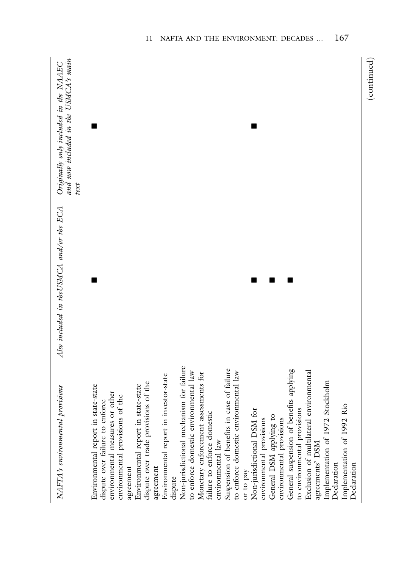| NAFTA's environmental provisions                                                                                                                                                                                                                                                                                                                                                                                                                                                                                                                                                                                                                                                                                                                                                                                                                                                                                                                        | Also included in the USMCA and/or the ECA | and now included in the USMCA's main<br>Originally only included in the NAAEC<br>text |
|---------------------------------------------------------------------------------------------------------------------------------------------------------------------------------------------------------------------------------------------------------------------------------------------------------------------------------------------------------------------------------------------------------------------------------------------------------------------------------------------------------------------------------------------------------------------------------------------------------------------------------------------------------------------------------------------------------------------------------------------------------------------------------------------------------------------------------------------------------------------------------------------------------------------------------------------------------|-------------------------------------------|---------------------------------------------------------------------------------------|
| Non-jurisdictional mechanism for failure<br>Suspension of benefits in case of failure<br>General suspension of benefits applying<br>Exclusion of multilateral environmental<br>to enforce domestic environmental law<br>to enforce domestic environmental law<br>Monetary enforcement assessments for<br>Environmental report in investor-state<br>Implementation of 1972 Stockholm<br>dispute over trade provisions of the<br>Environmental report in state-state<br>Environmental report in state-state<br>environmental measures or other<br>environmental provisions of the<br>dispute over failure to enforce<br>Implementation of 1992 Rio<br>to environmental provisions<br>Non-jurisdictional DSM for<br>failure to enforce domestic<br>General DSM applying to<br>environmental provisions<br>environmental provisions<br>environmental law<br>agreements' DSM<br>Declaration<br>Declaration<br>agreement<br>agreement<br>or to pay<br>dispute |                                           |                                                                                       |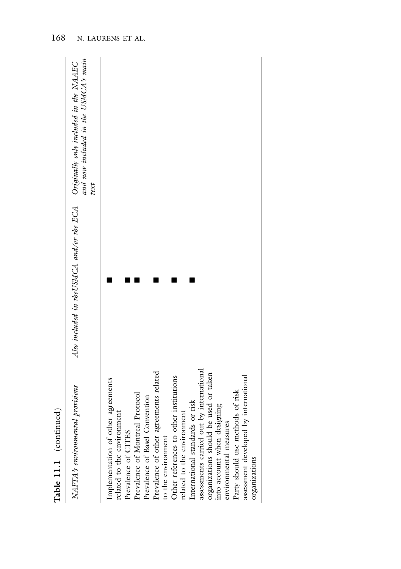| Table 11.1 (continued)                                                                                                                                                                                                                                                                                                                                                                                                                                                                                                                                                              |                                           |                                                                                       |
|-------------------------------------------------------------------------------------------------------------------------------------------------------------------------------------------------------------------------------------------------------------------------------------------------------------------------------------------------------------------------------------------------------------------------------------------------------------------------------------------------------------------------------------------------------------------------------------|-------------------------------------------|---------------------------------------------------------------------------------------|
| NAFTA's environmental provisions                                                                                                                                                                                                                                                                                                                                                                                                                                                                                                                                                    | Also included in the USMCA and/or the ECA | and now included in the USMCA's main<br>Originally only included in the NAAEC<br>text |
| assessments carried out by international<br>Prevalence of other agreements related<br>organizations should be used or taken<br>assessment developed by international<br>Other references to other institutions<br>Implementation of other agreements<br>Party should use methods of risk<br>Prevalence of Montreal Protocol<br>Prevalence of Basel Convention<br>International standards or risk<br>into account when designing<br>related to the environment<br>related to the environment<br>environmental measures<br>Prevalence of CITES<br>to the environment<br>organizations |                                           |                                                                                       |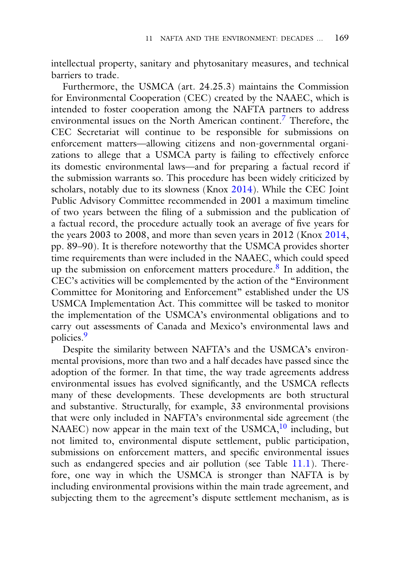intellectual property, sanitary and phytosanitary measures, and technical barriers to trade.

Furthermore, the USMCA (art. 24.25.3) maintains the Commission for Environmental Cooperation (CEC) created by the NAAEC, which is intended to foster cooperation among the NAFTA partners to address environmental issues on the North American continent.[7](#page-18-0) Therefore, the CEC Secretariat will continue to be responsible for submissions on enforcement matters—allowing citizens and non-governmental organizations to allege that a USMCA party is failing to effectively enforce its domestic environmental laws—and for preparing a factual record if the submission warrants so. This procedure has been widely criticized by scholars, notably due to its slowness (Knox [2014\)](#page-21-6). While the CEC Joint Public Advisory Committee recommended in 2001 a maximum timeline of two years between the filing of a submission and the publication of a factual record, the procedure actually took an average of five years for the years 2003 to 2008, and more than seven years in 2012 (Knox [2014,](#page-21-6) pp. 89–90). It is therefore noteworthy that the USMCA provides shorter time requirements than were included in the NAAEC, which could speed up the submission on enforcement matters procedure.<sup>8</sup> In addition, the CEC's activities will be complemented by the action of the "Environment Committee for Monitoring and Enforcement" established under the US USMCA Implementation Act. This committee will be tasked to monitor the implementation of the USMCA's environmental obligations and to carry out assessments of Canada and Mexico's environmental laws and policies[.9](#page-18-0)

Despite the similarity between NAFTA's and the USMCA's environmental provisions, more than two and a half decades have passed since the adoption of the former. In that time, the way trade agreements address environmental issues has evolved significantly, and the USMCA reflects many of these developments. These developments are both structural and substantive. Structurally, for example, 33 environmental provisions that were only included in NAFTA's environmental side agreement (the NAAEC) now appear in the main text of the USMCA,<sup>10</sup> including, but not limited to, environmental dispute settlement, public participation, submissions on enforcement matters, and specific environmental issues such as endangered species and air pollution (see Table [11.1\)](#page-5-0). Therefore, one way in which the USMCA is stronger than NAFTA is by including environmental provisions within the main trade agreement, and subjecting them to the agreement's dispute settlement mechanism, as is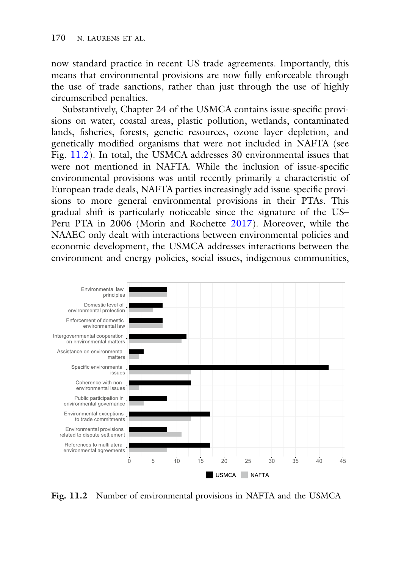now standard practice in recent US trade agreements. Importantly, this means that environmental provisions are now fully enforceable through the use of trade sanctions, rather than just through the use of highly circumscribed penalties.

Substantively, Chapter 24 of the USMCA contains issue-specific provisions on water, coastal areas, plastic pollution, wetlands, contaminated lands, fisheries, forests, genetic resources, ozone layer depletion, and genetically modified organisms that were not included in NAFTA (see Fig. [11.2\)](#page-13-0). In total, the USMCA addresses 30 environmental issues that were not mentioned in NAFTA. While the inclusion of issue-specific environmental provisions was until recently primarily a characteristic of European trade deals, NAFTA parties increasingly add issue-specific provisions to more general environmental provisions in their PTAs. This gradual shift is particularly noticeable since the signature of the US– Peru PTA in 2006 (Morin and Rochette [2017\)](#page-21-5). Moreover, while the NAAEC only dealt with interactions between environmental policies and economic development, the USMCA addresses interactions between the environment and energy policies, social issues, indigenous communities,



<span id="page-13-0"></span>**Fig. 11.2** Number of environmental provisions in NAFTA and the USMCA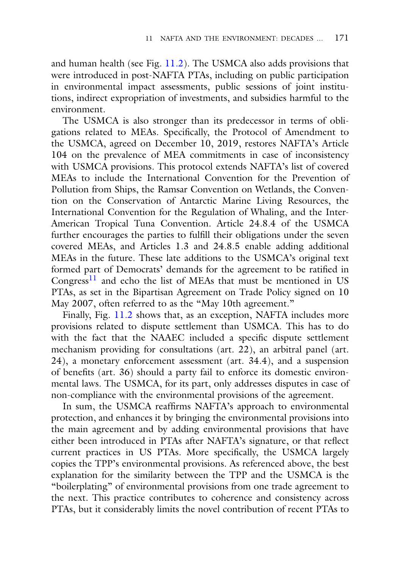and human health (see Fig. [11.2\)](#page-13-0). The USMCA also adds provisions that were introduced in post-NAFTA PTAs, including on public participation in environmental impact assessments, public sessions of joint institutions, indirect expropriation of investments, and subsidies harmful to the environment.

The USMCA is also stronger than its predecessor in terms of obligations related to MEAs. Specifically, the Protocol of Amendment to the USMCA, agreed on December 10, 2019, restores NAFTA's Article 104 on the prevalence of MEA commitments in case of inconsistency with USMCA provisions. This protocol extends NAFTA's list of covered MEAs to include the International Convention for the Prevention of Pollution from Ships, the Ramsar Convention on Wetlands, the Convention on the Conservation of Antarctic Marine Living Resources, the International Convention for the Regulation of Whaling, and the Inter-American Tropical Tuna Convention. Article 24.8.4 of the USMCA further encourages the parties to fulfill their obligations under the seven covered MEAs, and Articles 1.3 and 24.8.5 enable adding additional MEAs in the future. These late additions to the USMCA's original text formed part of Democrats' demands for the agreement to be ratified in  $Congress<sup>11</sup>$  $Congress<sup>11</sup>$  $Congress<sup>11</sup>$  and echo the list of MEAs that must be mentioned in US PTAs, as set in the Bipartisan Agreement on Trade Policy signed on 10 May 2007, often referred to as the "May 10th agreement."

Finally, Fig. [11.2](#page-13-0) shows that, as an exception, NAFTA includes more provisions related to dispute settlement than USMCA. This has to do with the fact that the NAAEC included a specific dispute settlement mechanism providing for consultations (art. 22), an arbitral panel (art. 24), a monetary enforcement assessment (art. 34.4), and a suspension of benefits (art. 36) should a party fail to enforce its domestic environmental laws. The USMCA, for its part, only addresses disputes in case of non-compliance with the environmental provisions of the agreement.

In sum, the USMCA reaffirms NAFTA's approach to environmental protection, and enhances it by bringing the environmental provisions into the main agreement and by adding environmental provisions that have either been introduced in PTAs after NAFTA's signature, or that reflect current practices in US PTAs. More specifically, the USMCA largely copies the TPP's environmental provisions. As referenced above, the best explanation for the similarity between the TPP and the USMCA is the "boilerplating" of environmental provisions from one trade agreement to the next. This practice contributes to coherence and consistency across PTAs, but it considerably limits the novel contribution of recent PTAs to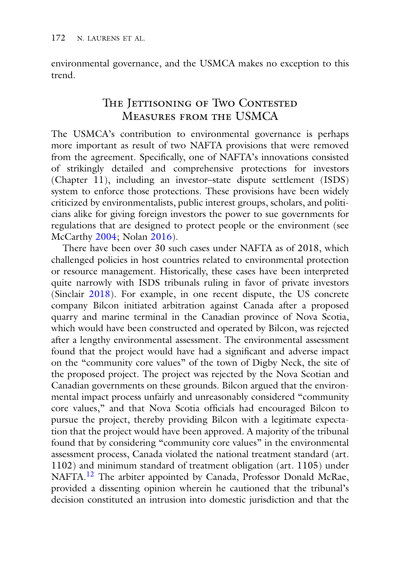environmental governance, and the USMCA makes no exception to this trend.

# The Jettisoning of Two Contested<br>Measures from the USMCA

Measures from the USMCA The USMCA's contribution to environmental governance is perhaps more important as result of two NAFTA provisions that were removed from the agreement. Specifically, one of NAFTA's innovations consisted of strikingly detailed and comprehensive protections for investors (Chapter 11), including an investor–state dispute settlement (ISDS) system to enforce those protections. These provisions have been widely criticized by environmentalists, public interest groups, scholars, and politicians alike for giving foreign investors the power to sue governments for regulations that are designed to protect people or the environment (see McCarthy [2004;](#page-21-7) Nolan [2016\)](#page-21-8).

There have been over 30 such cases under NAFTA as of 2018, which challenged policies in host countries related to environmental protection or resource management. Historically, these cases have been interpreted quite narrowly with ISDS tribunals ruling in favor of private investors (Sinclair [2018\)](#page-22-4). For example, in one recent dispute, the US concrete company Bilcon initiated arbitration against Canada after a proposed quarry and marine terminal in the Canadian province of Nova Scotia, which would have been constructed and operated by Bilcon, was rejected after a lengthy environmental assessment. The environmental assessment found that the project would have had a significant and adverse impact on the "community core values" of the town of Digby Neck, the site of the proposed project. The project was rejected by the Nova Scotian and Canadian governments on these grounds. Bilcon argued that the environmental impact process unfairly and unreasonably considered "community core values," and that Nova Scotia officials had encouraged Bilcon to pursue the project, thereby providing Bilcon with a legitimate expectation that the project would have been approved. A majority of the tribunal found that by considering "community core values" in the environmental assessment process, Canada violated the national treatment standard (art. 1102) and minimum standard of treatment obligation (art. 1105) under NAFTA[.12](#page-18-0) The arbiter appointed by Canada, Professor Donald McRae, provided a dissenting opinion wherein he cautioned that the tribunal's decision constituted an intrusion into domestic jurisdiction and that the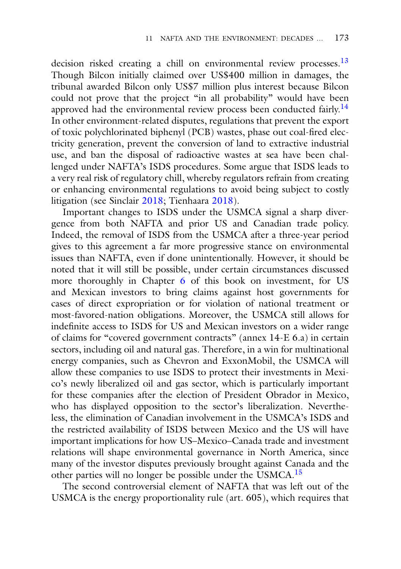decision risked creating a chill on environmental review processes.<sup>13</sup> Though Bilcon initially claimed over US\$400 million in damages, the tribunal awarded Bilcon only US\$7 million plus interest because Bilcon could not prove that the project "in all probability" would have been approved had the environmental review process been conducted fairly.<sup>[14](#page-18-0)</sup> In other environment-related disputes, regulations that prevent the export of toxic polychlorinated biphenyl (PCB) wastes, phase out coal-fired electricity generation, prevent the conversion of land to extractive industrial use, and ban the disposal of radioactive wastes at sea have been challenged under NAFTA's ISDS procedures. Some argue that ISDS leads to a very real risk of regulatory chill, whereby regulators refrain from creating or enhancing environmental regulations to avoid being subject to costly litigation (see Sinclair [2018;](#page-22-4) Tienhaara [2018\)](#page-22-5).

Important changes to ISDS under the USMCA signal a sharp divergence from both NAFTA and prior US and Canadian trade policy. Indeed, the removal of ISDS from the USMCA after a three-year period gives to this agreement a far more progressive stance on environmental issues than NAFTA, even if done unintentionally. However, it should be noted that it will still be possible, under certain circumstances discussed more thoroughly in Chapter 6 of this book on investment, for US and Mexican investors to bring claims against host governments for cases of direct expropriation or for violation of national treatment or most-favored-nation obligations. Moreover, the USMCA still allows for indefinite access to ISDS for US and Mexican investors on a wider range of claims for "covered government contracts" (annex 14-E 6.a) in certain sectors, including oil and natural gas. Therefore, in a win for multinational energy companies, such as Chevron and ExxonMobil, the USMCA will allow these companies to use ISDS to protect their investments in Mexico's newly liberalized oil and gas sector, which is particularly important for these companies after the election of President Obrador in Mexico, who has displayed opposition to the sector's liberalization. Nevertheless, the elimination of Canadian involvement in the USMCA's ISDS and the restricted availability of ISDS between Mexico and the US will have important implications for how US–Mexico–Canada trade and investment relations will shape environmental governance in North America, since many of the investor disputes previously brought against Canada and the other parties will no longer be possible under the USMCA[.15](#page-18-0)

The second controversial element of NAFTA that was left out of the USMCA is the energy proportionality rule (art. 605), which requires that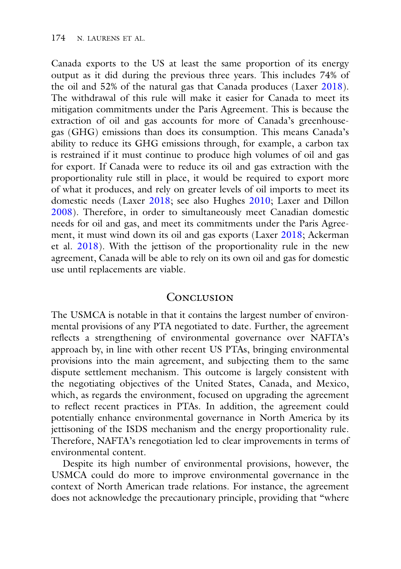Canada exports to the US at least the same proportion of its energy output as it did during the previous three years. This includes 74% of the oil and 52% of the natural gas that Canada produces (Laxer [2018\)](#page-21-9). The withdrawal of this rule will make it easier for Canada to meet its mitigation commitments under the Paris Agreement. This is because the extraction of oil and gas accounts for more of Canada's greenhousegas (GHG) emissions than does its consumption. This means Canada's ability to reduce its GHG emissions through, for example, a carbon tax is restrained if it must continue to produce high volumes of oil and gas for export. If Canada were to reduce its oil and gas extraction with the proportionality rule still in place, it would be required to export more of what it produces, and rely on greater levels of oil imports to meet its domestic needs (Laxer [2018;](#page-21-9) see also Hughes [2010;](#page-20-3) Laxer and Dillon [2008\)](#page-21-10). Therefore, in order to simultaneously meet Canadian domestic needs for oil and gas, and meet its commitments under the Paris Agreement, it must wind down its oil and gas exports (Laxer [2018;](#page-21-9) Ackerman et al. [2018\)](#page-20-4). With the jettison of the proportionality rule in the new agreement, Canada will be able to rely on its own oil and gas for domestic use until replacements are viable.

### CONCLUSION

Conclusion The USMCA is notable in that it contains the largest number of environmental provisions of any PTA negotiated to date. Further, the agreement reflects a strengthening of environmental governance over NAFTA's approach by, in line with other recent US PTAs, bringing environmental provisions into the main agreement, and subjecting them to the same dispute settlement mechanism. This outcome is largely consistent with the negotiating objectives of the United States, Canada, and Mexico, which, as regards the environment, focused on upgrading the agreement to reflect recent practices in PTAs. In addition, the agreement could potentially enhance environmental governance in North America by its jettisoning of the ISDS mechanism and the energy proportionality rule. Therefore, NAFTA's renegotiation led to clear improvements in terms of environmental content.

Despite its high number of environmental provisions, however, the USMCA could do more to improve environmental governance in the context of North American trade relations. For instance, the agreement does not acknowledge the precautionary principle, providing that "where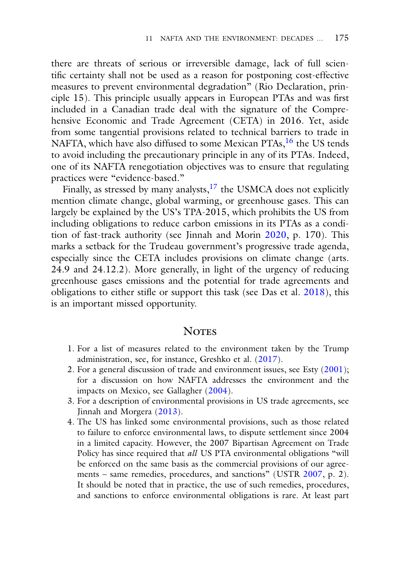there are threats of serious or irreversible damage, lack of full scientific certainty shall not be used as a reason for postponing cost-effective measures to prevent environmental degradation" (Rio Declaration, principle 15). This principle usually appears in European PTAs and was first included in a Canadian trade deal with the signature of the Comprehensive Economic and Trade Agreement (CETA) in 2016. Yet, aside from some tangential provisions related to technical barriers to trade in NAFTA, which have also diffused to some Mexican PTAs,<sup>16</sup> the US tends to avoid including the precautionary principle in any of its PTAs. Indeed, one of its NAFTA renegotiation objectives was to ensure that regulating practices were "evidence-based."

Finally, as stressed by many analysts, $17$  the USMCA does not explicitly mention climate change, global warming, or greenhouse gases. This can largely be explained by the US's TPA-2015, which prohibits the US from including obligations to reduce carbon emissions in its PTAs as a condition of fast-track authority (see Jinnah and Morin [2020,](#page-21-1) p. 170). This marks a setback for the Trudeau government's progressive trade agenda, especially since the CETA includes provisions on climate change (arts. 24.9 and 24.12.2). More generally, in light of the urgency of reducing greenhouse gases emissions and the potential for trade agreements and obligations to either stifle or support this task (see Das et al. [2018\)](#page-20-5), this is an important missed opportunity.

### **NOTES**

- <span id="page-18-0"></span>1. For a list of measures related to the environment taken by the Trump administration, see, for instance, Greshko et al. [\(2017\)](#page-20-6).
- 2. For a general discussion of trade and environment issues, see Esty [\(2001\)](#page-20-7); for a discussion on how NAFTA addresses the environment and the impacts on Mexico, see Gallagher [\(2004\)](#page-20-8).
- 3. For a description of environmental provisions in US trade agreements, see Jinnah and Morgera [\(2013\)](#page-21-11).
- 4. The US has linked some environmental provisions, such as those related to failure to enforce environmental laws, to dispute settlement since 2004 in a limited capacity. However, the 2007 Bipartisan Agreement on Trade Policy has since required that *all* US PTA environmental obligations "will be enforced on the same basis as the commercial provisions of our agreements – same remedies, procedures, and sanctions" (USTR [2007,](#page-23-4) p. 2). It should be noted that in practice, the use of such remedies, procedures, and sanctions to enforce environmental obligations is rare. At least part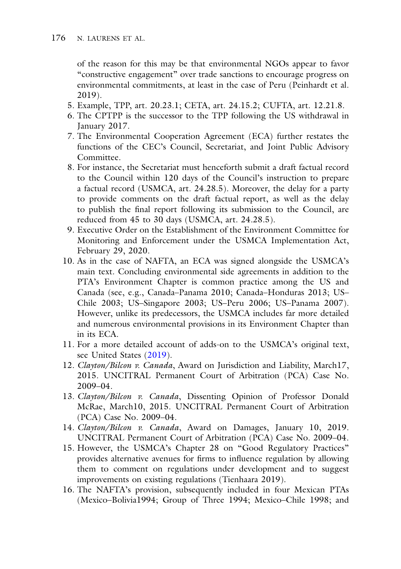of the reason for this may be that environmental NGOs appear to favor "constructive engagement" over trade sanctions to encourage progress on environmental commitments, at least in the case of Peru (Peinhardt et al. 2019).

- 5. Example, TPP, art. 20.23.1; CETA, art. 24.15.2; CUFTA, art. 12.21.8.
- 6. The CPTPP is the successor to the TPP following the US withdrawal in January 2017.
- 7. The Environmental Cooperation Agreement (ECA) further restates the functions of the CEC's Council, Secretariat, and Joint Public Advisory Committee.
- 8. For instance, the Secretariat must henceforth submit a draft factual record to the Council within 120 days of the Council's instruction to prepare a factual record (USMCA, art. 24.28.5). Moreover, the delay for a party to provide comments on the draft factual report, as well as the delay to publish the final report following its submission to the Council, are reduced from 45 to 30 days (USMCA, art. 24.28.5).
- 9. Executive Order on the Establishment of the Environment Committee for Monitoring and Enforcement under the USMCA Implementation Act, February 29, 2020.
- 10. As in the case of NAFTA, an ECA was signed alongside the USMCA's main text. Concluding environmental side agreements in addition to the PTA's Environment Chapter is common practice among the US and Canada (see, e.g., Canada–Panama 2010; Canada–Honduras 2013; US– Chile 2003; US–Singapore 2003; US–Peru 2006; US–Panama 2007). However, unlike its predecessors, the USMCA includes far more detailed and numerous environmental provisions in its Environment Chapter than in its ECA.
- 11. For a more detailed account of adds-on to the USMCA's original text, see United States [\(2019\)](#page-23-5).
- 12. *Clayton/Bilcon v. Canada*, Award on Jurisdiction and Liability, March17, 2015. UNCITRAL Permanent Court of Arbitration (PCA) Case No. 2009–04.
- 13. *Clayton/Bilcon v. Canada*, Dissenting Opinion of Professor Donald McRae, March10, 2015. UNCITRAL Permanent Court of Arbitration (PCA) Case No. 2009–04.
- 14. *Clayton/Bilcon v. Canada*, Award on Damages, January 10, 2019. UNCITRAL Permanent Court of Arbitration (PCA) Case No. 2009–04.
- 15. However, the USMCA's Chapter 28 on "Good Regulatory Practices" provides alternative avenues for firms to influence regulation by allowing them to comment on regulations under development and to suggest improvements on existing regulations (Tienhaara 2019).
- 16. The NAFTA's provision, subsequently included in four Mexican PTAs (Mexico–Bolivia1994; Group of Three 1994; Mexico–Chile 1998; and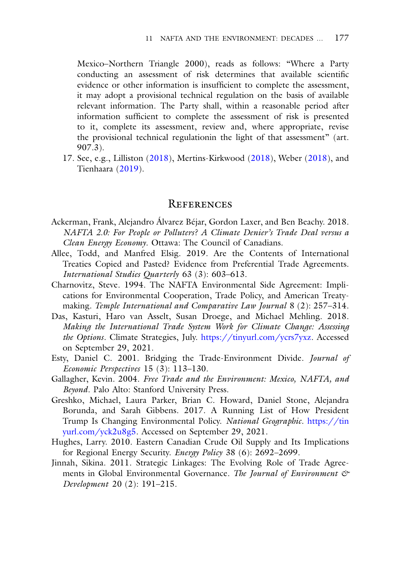Mexico–Northern Triangle 2000), reads as follows: "Where a Party conducting an assessment of risk determines that available scientific evidence or other information is insufficient to complete the assessment, it may adopt a provisional technical regulation on the basis of available relevant information. The Party shall, within a reasonable period after information sufficient to complete the assessment of risk is presented to it, complete its assessment, review and, where appropriate, revise the provisional technical regulationin the light of that assessment" (art. 907.3).

17. See, e.g., Lilliston [\(2018\)](#page-21-12), Mertins-Kirkwood [\(2018\)](#page-21-13), Weber [\(2018\)](#page-22-6), and Tienhaara [\(2019\)](#page-22-0).

#### **REFERENCES** References

- <span id="page-20-4"></span>Ackerman, Frank, Alejandro Álvarez Béjar, Gordon Laxer, and Ben Beachy. 2018. *NAFTA 2.0: For People or Polluters? A Climate Denier's Trade Deal versus a Clean Energy Economy*. Ottawa: The Council of Canadians.
- <span id="page-20-0"></span>Allee, Todd, and Manfred Elsig. 2019. Are the Contents of International Treaties Copied and Pasted? Evidence from Preferential Trade Agreements. *International Studies Quarterly* 63 (3): 603–613.
- <span id="page-20-1"></span>Charnovitz, Steve. 1994. The NAFTA Environmental Side Agreement: Implications for Environmental Cooperation, Trade Policy, and American Treatymaking. *Temple International and Comparative Law Journal* 8 (2): 257–314.
- <span id="page-20-5"></span>Das, Kasturi, Haro van Asselt, Susan Droege, and Michael Mehling. 2018. *Making the International Trade System Work for Climate Change: Assessing the Options*. Climate Strategies, July. [https://tinyurl.com/ycrs7yxz.](https://tinyurl.com/ycrs7yxz) Accessed on September 29, 2021.
- <span id="page-20-7"></span>Esty, Daniel C. 2001. Bridging the Trade-Environment Divide. *Journal of Economic Perspectives* 15 (3): 113–130.
- <span id="page-20-8"></span>Gallagher, Kevin. 2004. *Free Trade and the Environment: Mexico, NAFTA, and Beyond*. Palo Alto: Stanford University Press.
- <span id="page-20-6"></span>Greshko, Michael, Laura Parker, Brian C. Howard, Daniel Stone, Alejandra Borunda, and Sarah Gibbens. 2017. A Running List of How President Trump Is Changing Environmental Policy. *National Geographic*. https://tin [yurl.com/yck2u8g5. Accessed on September 29, 2021.](https://tinyurl.com/yck2u8g5)
- <span id="page-20-3"></span>Hughes, Larry. 2010. Eastern Canadian Crude Oil Supply and Its Implications for Regional Energy Security. *Energy Policy* 38 (6): 2692–2699.
- <span id="page-20-2"></span>Jinnah, Sikina. 2011. Strategic Linkages: The Evolving Role of Trade Agreements in Global Environmental Governance. *The Journal of Environment & Development* 20 (2): 191–215.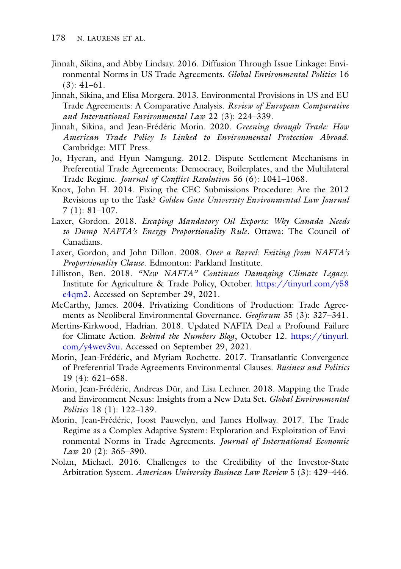- <span id="page-21-3"></span>Jinnah, Sikina, and Abby Lindsay. 2016. Diffusion Through Issue Linkage: Environmental Norms in US Trade Agreements. *Global Environmental Politics* 16  $(3): 41-61.$
- <span id="page-21-11"></span>Jinnah, Sikina, and Elisa Morgera. 2013. Environmental Provisions in US and EU Trade Agreements: A Comparative Analysis. *Review of European Comparative and International Environmental Law* 22 (3): 224–339.
- <span id="page-21-1"></span>Jinnah, Sikina, and Jean-Frédéric Morin. 2020. *Greening through Trade: How American Trade Policy Is Linked to Environmental Protection Abroad*. Cambridge: MIT Press.
- <span id="page-21-4"></span>Jo, Hyeran, and Hyun Namgung. 2012. Dispute Settlement Mechanisms in Preferential Trade Agreements: Democracy, Boilerplates, and the Multilateral Trade Regime. *Journal of Conflict Resolution* 56 (6): 1041–1068.
- <span id="page-21-6"></span>Knox, John H. 2014. Fixing the CEC Submissions Procedure: Are the 2012 Revisions up to the Task? *Golden Gate University Environmental Law Journal* 7 (1): 81–107.
- <span id="page-21-9"></span>Laxer, Gordon. 2018. *Escaping Mandatory Oil Exports: Why Canada Needs to Dump NAFTA's Energy Proportionality Rule*. Ottawa: The Council of Canadians.
- <span id="page-21-10"></span>Laxer, Gordon, and John Dillon. 2008. *Over a Barrel: Exiting from NAFTA's Proportionality Clause*. Edmonton: Parkland Institute.
- <span id="page-21-12"></span>Lilliston, Ben. 2018. *"New NAFTA" Continues Damaging Climate Legacy*. [Institute for Agriculture & Trade Policy, October.](https://tinyurl.com/y58e4qm2) https://tinyurl.com/y58 e4qm2. Accessed on September 29, 2021.
- <span id="page-21-7"></span>McCarthy, James. 2004. Privatizing Conditions of Production: Trade Agreements as Neoliberal Environmental Governance. *Geoforum* 35 (3): 327–341.
- <span id="page-21-13"></span>Mertins-Kirkwood, Hadrian. 2018. Updated NAFTA Deal a Profound Failure for Climate Action. *Behind the Numbers Blog*, October 12. https://tinyurl. [com/y4wev3vu. Accessed on September 29, 2021.](https://tinyurl.com/y4wev3vu)
- <span id="page-21-5"></span>Morin, Jean-Frédéric, and Myriam Rochette. 2017. Transatlantic Convergence of Preferential Trade Agreements Environmental Clauses. *Business and Politics* 19 (4): 621–658.
- <span id="page-21-2"></span>Morin, Jean-Frédéric, Andreas Dür, and Lisa Lechner. 2018. Mapping the Trade and Environment Nexus: Insights from a New Data Set. *Global Environmental Politics* 18 (1): 122–139.
- <span id="page-21-0"></span>Morin, Jean-Frédéric, Joost Pauwelyn, and James Hollway. 2017. The Trade Regime as a Complex Adaptive System: Exploration and Exploitation of Environmental Norms in Trade Agreements. *Journal of International Economic Law* 20 (2): 365–390.
- <span id="page-21-8"></span>Nolan, Michael. 2016. Challenges to the Credibility of the Investor-State Arbitration System. *American University Business Law Review* 5 (3): 429–446.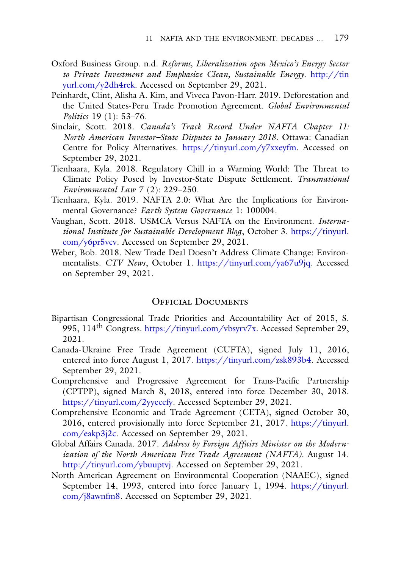- Oxford Business Group. n.d. *Reforms, Liberalization open Mexico's Energy Sector [to Private Investment and Emphasize Clean, Sustainable Energy](http://tinyurl.com/y2dh4rek)*. http://tin yurl.com/y2dh4rek. Accessed on September 29, 2021.
- Peinhardt, Clint, Alisha A. Kim, and Viveca Pavon-Harr. 2019. Deforestation and the United States-Peru Trade Promotion Agreement. *Global Environmental Politics* 19 (1): 53–76.
- <span id="page-22-4"></span>Sinclair, Scott. 2018. *Canada's Track Record Under NAFTA Chapter 11: North American Investor–State Disputes to January 2018*. Ottawa: Canadian Centre for Policy Alternatives. [https://tinyurl.com/y7xxeyfm.](https://tinyurl.com/y7xxeyfm) Accessed on September 29, 2021.
- <span id="page-22-5"></span>Tienhaara, Kyla. 2018. Regulatory Chill in a Warming World: The Threat to Climate Policy Posed by Investor-State Dispute Settlement. *Transnational Environmental Law* 7 (2): 229–250.
- <span id="page-22-0"></span>Tienhaara, Kyla. 2019. NAFTA 2.0: What Are the Implications for Environmental Governance? *Earth System Governance* 1: 100004.
- <span id="page-22-1"></span>Vaughan, Scott. 2018. USMCA Versus NAFTA on the Environment. *International Institute for Sustainable Development Blog*, October 3. https://tinyurl. [com/y6pr5vcv. Accessed on September 29, 2021.](https://tinyurl.com/y6pr5vcv)
- <span id="page-22-6"></span>Weber, Bob. 2018. New Trade Deal Doesn't Address Climate Change: Environmentalists. *CTV News*, October 1. [https://tinyurl.com/ya67u9jq.](https://tinyurl.com/ya67u9jq) Accessed on September 29, 2021.

### **OEFICIAL DOCUMENTS**

- <span id="page-22-2"></span>Bipartisan Congressional Trade Priorities and Accountability Act of 2015, S. 995, 114<sup>th</sup> Congress. [https://tinyurl.com/vbsyrv7x.](https://tinyurl.com/vbsyrv7x) Accessed September 29, 2021.
- Canada-Ukraine Free Trade Agreement (CUFTA), signed July 11, 2016, entered into force August 1, 2017. [https://tinyurl.com/zsk893b4.](https://tinyurl.com/zsk893b4) Accessed September 29, 2021.
- Comprehensive and Progressive Agreement for Trans-Pacific Partnership (CPTPP), signed March 8, 2018, entered into force December 30, 2018. [https://tinyurl.com/2yyecefy.](https://tinyurl.com/2yyecefy) Accessed September 29, 2021.
- Comprehensive Economic and Trade Agreement (CETA), signed October 30, [2016, entered provisionally into force September 21, 2017.](https://tinyurl.com/eakp3j2c) https://tinyurl. com/eakp3j2c. Accessed on September 29, 2021.
- <span id="page-22-3"></span>Global Affairs Canada. 2017. *Address by Foreign Affairs Minister on the Modernization of the North American Free Trade Agreement (NAFTA)*. August 14. [http://tinyurl.com/ybuuptvj.](http://tinyurl.com/ybuuptvj) Accessed on September 29, 2021.
- North American Agreement on Environmental Cooperation (NAAEC), signed [September 14, 1993, entered into force January 1, 1994.](https://tinyurl.com/j8awnfm8) https://tinyurl. com/j8awnfm8. Accessed on September 29, 2021.